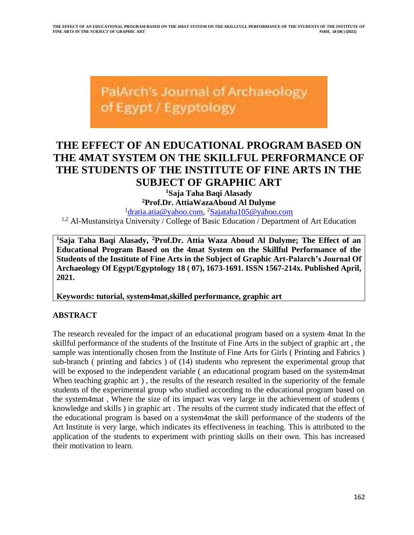PalArch's Journal of Archaeology of Egypt / Egyptology

# **THE EFFECT OF AN EDUCATIONAL PROGRAM BASED ON THE 4MAT SYSTEM ON THE SKILLFUL PERFORMANCE OF THE STUDENTS OF THE INSTITUTE OF FINE ARTS IN THE SUBJECT OF GRAPHIC ART**

**<sup>1</sup>Saja Taha Baqi Alasady <sup>2</sup>Prof.Dr. AttiaWazaAboud Al Dulyme**

<sup>1</sup>[dratia.atia@yahoo.com,](mailto:dratia.atia@yahoo.com) <sup>2</sup>[Sajataha105@yahoo.com](mailto:Sajataha105@yahoo.com) <sup>1,2</sup> Al-Mustansiriya University / College of Basic Education / Department of Art Education

**<sup>1</sup>Saja Taha Baqi Alasady, <sup>2</sup>Prof.Dr. Attia Waza Aboud Al Dulyme; The Effect of an Educational Program Based on the 4mat System on the Skillful Performance of the Students of the Institute of Fine Arts in the Subject of Graphic Art-Palarch's Journal Of Archaeology Of Egypt/Egyptology 18 ( 07), 1673-1691. ISSN 1567-214x. Published April, 2021.**

**Keywords: tutorial, system4mat,skilled performance, graphic art** 

### **ABSTRACT**

The research revealed for the impact of an educational program based on a system 4mat In the skillful performance of the students of the Institute of Fine Arts in the subject of graphic art , the sample was intentionally chosen from the Institute of Fine Arts for Girls ( Printing and Fabrics ) sub-branch ( printing and fabrics ) of (14) students who represent the experimental group that will be exposed to the independent variable ( an educational program based on the system4mat When teaching graphic art), the results of the research resulted in the superiority of the female students of the experimental group who studied according to the educational program based on the system4mat , Where the size of its impact was very large in the achievement of students ( knowledge and skills ) in graphic art . The results of the current study indicated that the effect of the educational program is based on a system4mat the skill performance of the students of the Art Institute is very large, which indicates its effectiveness in teaching. This is attributed to the application of the students to experiment with printing skills on their own. This has increased their motivation to learn.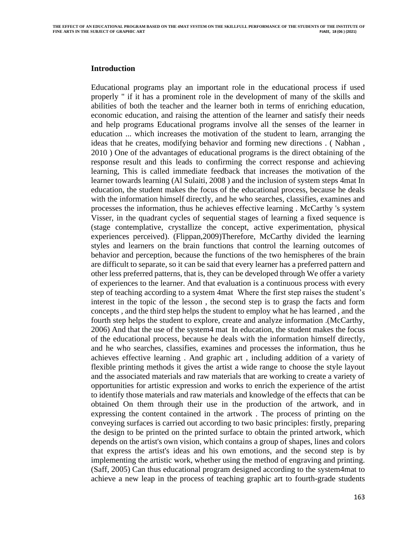### **Introduction**

Educational programs play an important role in the educational process if used properly " if it has a prominent role in the development of many of the skills and abilities of both the teacher and the learner both in terms of enriching education, economic education, and raising the attention of the learner and satisfy their needs and help programs Educational programs involve all the senses of the learner in education ... which increases the motivation of the student to learn, arranging the ideas that he creates, modifying behavior and forming new directions . ( Nabhan , 2010 ) One of the advantages of educational programs is the direct obtaining of the response result and this leads to confirming the correct response and achieving learning, This is called immediate feedback that increases the motivation of the learner towards learning (Al Sulaiti, 2008 ) and the inclusion of system steps 4mat In education, the student makes the focus of the educational process, because he deals with the information himself directly, and he who searches, classifies, examines and processes the information, thus he achieves effective learning . McCarthy 's system Visser, in the quadrant cycles of sequential stages of learning a fixed sequence is (stage contemplative, crystallize the concept, active experimentation, physical experiences perceived). (Flippan,2009)Therefore, McCarthy divided the learning styles and learners on the brain functions that control the learning outcomes of behavior and perception, because the functions of the two hemispheres of the brain are difficult to separate, so it can be said that every learner has a preferred pattern and other less preferred patterns, that is, they can be developed through We offer a variety of experiences to the learner. And that evaluation is a continuous process with every step of teaching according to a system 4mat Where the first step raises the student's interest in the topic of the lesson , the second step is to grasp the facts and form concepts , and the third step helps the student to employ what he has learned , and the fourth step helps the student to explore, create and analyze information .(McCarthy, 2006) And that the use of the system4 mat In education, the student makes the focus of the educational process, because he deals with the information himself directly, and he who searches, classifies, examines and processes the information, thus he achieves effective learning . And graphic art , including addition of a variety of flexible printing methods it gives the artist a wide range to choose the style layout and the associated materials and raw materials that are working to create a variety of opportunities for artistic expression and works to enrich the experience of the artist to identify those materials and raw materials and knowledge of the effects that can be obtained On them through their use in the production of the artwork, and in expressing the content contained in the artwork . The process of printing on the conveying surfaces is carried out according to two basic principles: firstly, preparing the design to be printed on the printed surface to obtain the printed artwork, which depends on the artist's own vision, which contains a group of shapes, lines and colors that express the artist's ideas and his own emotions, and the second step is by implementing the artistic work, whether using the method of engraving and printing. (Saff, 2005) Can thus educational program designed according to the system4mat to achieve a new leap in the process of teaching graphic art to fourth-grade students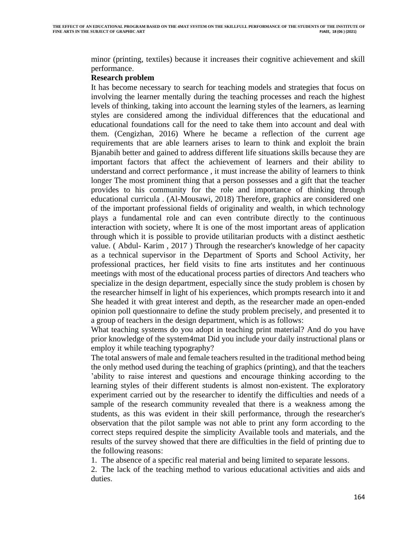minor (printing, textiles) because it increases their cognitive achievement and skill performance .

#### **Research problem**

It has become necessary to search for teaching models and strategies that focus on involving the learner mentally during the teaching processes and reach the highest levels of thinking, taking into account the learning styles of the learners, as learning styles are considered among the individual differences that the educational and educational foundations call for the need to take them into account and deal with them. (Cengizhan, 2016) Where he became a reflection of the current age requirements that are able learners arises to learn to think and exploit the brain Bjanabih better and gained to address different life situations skills because they are important factors that affect the achievement of learners and their ability to understand and correct performance , it must increase the ability of learners to think longer The most prominent thing that a person possesses and a gift that the teacher provides to his community for the role and importance of thinking through educational curricula . (Al-Mousawi, 2018) Therefore, graphics are considered one of the important professional fields of originality and wealth, in which technology plays a fundamental role and can even contribute directly to the continuous interaction with society, where It is one of the most important areas of application through which it is possible to provide utilitarian products with a distinct aesthetic value. ( Abdul- Karim , 2017 ) Through the researcher's knowledge of her capacity as a technical supervisor in the Department of Sports and School Activity, her professional practices, her field visits to fine arts institutes and her continuous meetings with most of the educational process parties of directors And teachers who specialize in the design department, especially since the study problem is chosen by the researcher himself in light of his experiences, which prompts research into it and She headed it with great interest and depth, as the researcher made an open-ended opinion poll questionnaire to define the study problem precisely, and presented it to a group of teachers in the design department, which is as follows:

What teaching systems do you adopt in teaching print material? And do you have prior knowledge of the system4mat Did you include your daily instructional plans or employ it while teaching typography?

The total answers of male and female teachers resulted in the traditional method being the only method used during the teaching of graphics (printing), and that the teachers 'ability to raise interest and questions and encourage thinking according to the learning styles of their different students is almost non-existent. The exploratory experiment carried out by the researcher to identify the difficulties and needs of a sample of the research community revealed that there is a weakness among the students, as this was evident in their skill performance, through the researcher's observation that the pilot sample was not able to print any form according to the correct steps required despite the simplicity Available tools and materials, and the results of the survey showed that there are difficulties in the field of printing due to the following reasons :

1. The absence of a specific real material and being limited to separate lessons.

2. The lack of the teaching method to various educational activities and aids and duties.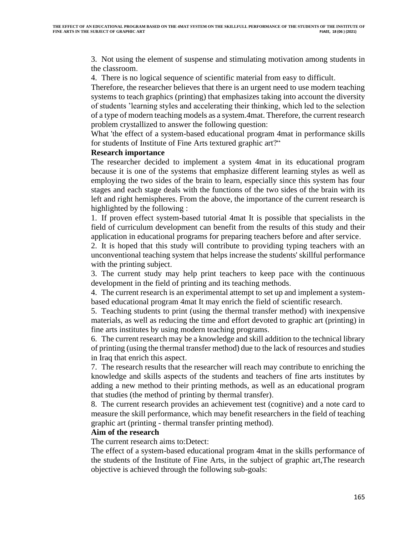3. Not using the element of suspense and stimulating motivation among students in the classroom .

4. There is no logical sequence of scientific material from easy to difficult .

Therefore, the researcher believes that there is an urgent need to use modern teaching systems to teach graphics (printing) that emphasizes taking into account the diversity of students 'learning styles and accelerating their thinking, which led to the selection of a type of modern teaching models as a system.4mat. Therefore, the current research problem crystallized to answer the following question :

What 'the effect of a system-based educational program 4mat in performance skills for students of Institute of Fine Arts textured graphic art?"

#### **Research importance**

The researcher decided to implement a system 4mat in its educational program because it is one of the systems that emphasize different learning styles as well as employing the two sides of the brain to learn, especially since this system has four stages and each stage deals with the functions of the two sides of the brain with its left and right hemispheres. From the above, the importance of the current research is highlighted by the following :

1. If proven effect system-based tutorial 4mat It is possible that specialists in the field of curriculum development can benefit from the results of this study and their application in educational programs for preparing teachers before and after service .

2. It is hoped that this study will contribute to providing typing teachers with an unconventional teaching system that helps increase the students' skillful performance with the printing subject.

3. The current study may help print teachers to keep pace with the continuous development in the field of printing and its teaching methods.

4. The current research is an experimental attempt to set up and implement a systembased educational program 4mat It may enrich the field of scientific research.

5. Teaching students to print (using the thermal transfer method) with inexpensive materials, as well as reducing the time and effort devoted to graphic art (printing) in fine arts institutes by using modern teaching programs.

6. The current research may be a knowledge and skill addition to the technical library of printing (using the thermal transfer method) due to the lack of resources and studies in Iraq that enrich this aspect.

7. The research results that the researcher will reach may contribute to enriching the knowledge and skills aspects of the students and teachers of fine arts institutes by adding a new method to their printing methods, as well as an educational program that studies (the method of printing by thermal transfer) .

8. The current research provides an achievement test (cognitive) and a note card to measure the skill performance, which may benefit researchers in the field of teaching graphic art (printing - thermal transfer printing method).

### **Aim of the research**

The current research aims to:Detect:

The effect of a system-based educational program 4mat in the skills performance of the students of the Institute of Fine Arts, in the subject of graphic art,The research objective is achieved through the following sub-goals: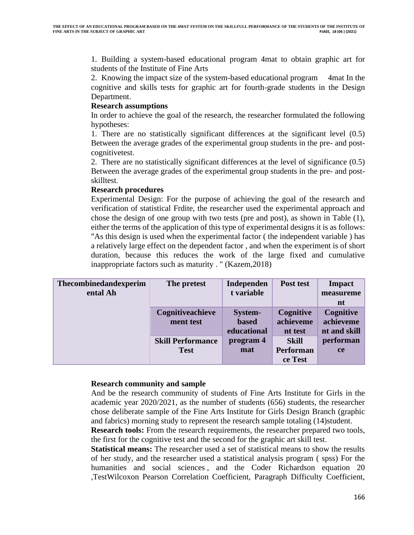1. Building a system-based educational program 4mat to obtain graphic art for students of the Institute of Fine Arts

2. Knowing the impact size of the system-based educational program 4mat In the cognitive and skills tests for graphic art for fourth-grade students in the Design Department.

## **Research assumptions**

In order to achieve the goal of the research, the researcher formulated the following hypotheses:

1. There are no statistically significant differences at the significant level (0.5) Between the average grades of the experimental group students in the pre- and postcognitivetest.

2. There are no statistically significant differences at the level of significance (0.5) Between the average grades of the experimental group students in the pre- and postskilltest .

## **Research procedures**

Experimental Design: For the purpose of achieving the goal of the research and verification of statistical Frdite, the researcher used the experimental approach and chose the design of one group with two tests (pre and post), as shown in Table (1), either the terms of the application of this type of experimental designs it is as follows: "As this design is used when the experimental factor ( the independent variable ) has a relatively large effect on the dependent factor , and when the experiment is of short duration, because this reduces the work of the large fixed and cumulative inappropriate factors such as maturity . " (Kazem,2018)

| Thecombinedandexperim | The pretest              | Independen   | Post test    | Impact       |
|-----------------------|--------------------------|--------------|--------------|--------------|
| ental Ah              |                          | t variable   |              | measureme    |
|                       |                          |              |              | nt           |
|                       | Cognitiveachieve         | System-      | Cognitive    | Cognitive    |
|                       | ment test                | <b>based</b> | achieveme    | achieveme    |
|                       |                          | educational  | nt test      | nt and skill |
|                       | <b>Skill Performance</b> | program 4    | <b>Skill</b> | performan    |
|                       | <b>Test</b>              | mat          | Performan    | <b>ce</b>    |
|                       |                          |              | ce Test      |              |

### **Research community and sample**

And be the research community of students of Fine Arts Institute for Girls in the academic year 2020/2021, as the number of students (656) students, the researcher chose deliberate sample of the Fine Arts Institute for Girls Design Branch (graphic and fabrics) morning study to represent the research sample totaling (14)student.

**Research tools:** From the research requirements, the researcher prepared two tools, the first for the cognitive test and the second for the graphic art skill test.

**Statistical means:** The researcher used a set of statistical means to show the results of her study, and the researcher used a statistical analysis program ( spss) For the humanities and social sciences, and the Coder Richardson equation 20 ,TestWilcoxon Pearson Correlation Coefficient, Paragraph Difficulty Coefficient,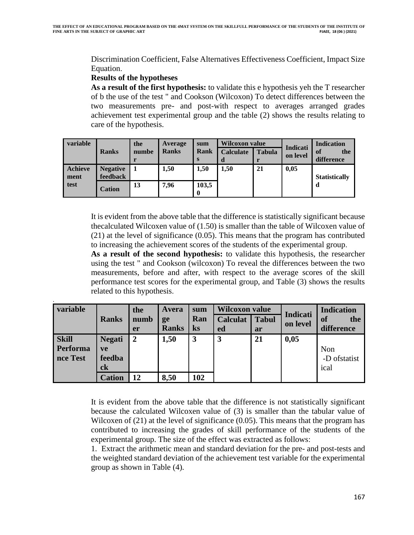Discrimination Coefficient, False Alternatives Effectiveness Coefficient, Impact Size Equation.

## **Results of the hypotheses**

.

**As a result of the first hypothesis:** to validate this e hypothesis yeh the T researcher of b the use of the test " and Cookson (Wilcoxon) To detect differences between the two measurements pre- and post-with respect to averages arranged grades achievement test experimental group and the table (2) shows the results relating to care of the hypothesis.

| variable               | <b>Ranks</b>                | the<br>numbe | Average<br><b>Ranks</b> | sum<br><b>Rank</b><br>S | <b>Wilcoxon value</b><br><b>Calculate</b><br>d | <b>Tabula</b> | <b>Indicati</b><br>on level | <b>Indication</b><br>of<br>the<br>difference |
|------------------------|-----------------------------|--------------|-------------------------|-------------------------|------------------------------------------------|---------------|-----------------------------|----------------------------------------------|
| <b>Achieve</b><br>ment | <b>Negative</b><br>feedback |              | 1,50                    | 1,50                    | 1,50                                           | 21            | 0,05                        | <b>Statistically</b>                         |
| test                   | <b>Cation</b>               | 13           | 7,96                    | 103,5<br>0              |                                                |               |                             | d                                            |

It is evident from the above table that the difference is statistically significant because thecalculated Wilcoxen value of (1.50) is smaller than the table of Wilcoxen value of (21) at the level of significance (0.05). This means that the program has contributed to increasing the achievement scores of the students of the experimental group.

**As a result of the second hypothesis:** to validate this hypothesis, the researcher using the test " and Cookson (wilcoxon) To reveal the differences between the two measurements, before and after, with respect to the average scores of the skill performance test scores for the experimental group, and Table (3) shows the results related to this hypothesis.

| variable                             |                                     | the            | Avera        | sum      | <b>Wilcoxon value</b> |              | Indicati | <b>Indication</b>            |
|--------------------------------------|-------------------------------------|----------------|--------------|----------|-----------------------|--------------|----------|------------------------------|
|                                      | <b>Ranks</b>                        | numb           | ge           | Ran      | <b>Calculat</b>       | <b>Tabul</b> | on level | the<br><b>of</b>             |
|                                      |                                     | er             | <b>Ranks</b> | $\bf ks$ | ed                    | ar           |          | difference                   |
| <b>Skill</b><br>Performa<br>nce Test | <b>Negati</b><br>ve<br>feedba<br>ck | $\overline{2}$ | 1,50         | 3        | $\overline{3}$        | 21           | 0,05     | Non<br>-D of statist<br>ical |
|                                      | <b>Cation</b>                       | 12             | 8,50         | 102      |                       |              |          |                              |

It is evident from the above table that the difference is not statistically significant because the calculated Wilcoxen value of (3) is smaller than the tabular value of Wilcoxen of (21) at the level of significance (0.05). This means that the program has contributed to increasing the grades of skill performance of the students of the experimental group. The size of the effect was extracted as follows:

1. Extract the arithmetic mean and standard deviation for the pre- and post-tests and the weighted standard deviation of the achievement test variable for the experimental group as shown in Table (4).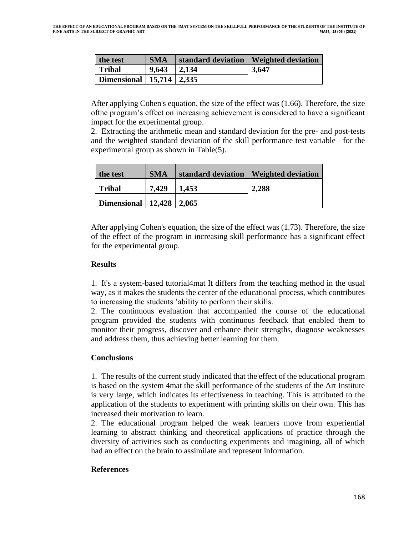| the test                     | <b>SMA</b> |       | standard deviation   Weighted deviation |
|------------------------------|------------|-------|-----------------------------------------|
| <b>Tribal</b>                | 9.643      | 2,134 | 3,647                                   |
| Dimensional   15,714   2,335 |            |       |                                         |

After applying Cohen's equation, the size of the effect was (1.66). Therefore, the size ofthe program's effect on increasing achievement is considered to have a significant impact for the experimental group.

2. Extracting the arithmetic mean and standard deviation for the pre- and post-tests and the weighted standard deviation of the skill performance test variable for the experimental group as shown in Table $(5)$ .

| the test                     | <b>SMA</b> |       | standard deviation   Weighted deviation |
|------------------------------|------------|-------|-----------------------------------------|
| <b>Tribal</b>                | 7.429      | 1,453 | 2,288                                   |
| Dimensional   12,428   2,065 |            |       |                                         |

After applying Cohen's equation, the size of the effect was (1.73). Therefore, the size of the effect of the program in increasing skill performance has a significant effect for the experimental group.

## **Results**

1. It's a system-based tutorial4mat It differs from the teaching method in the usual way, as it makes the students the center of the educational process, which contributes to increasing the students 'ability to perform their skills .

2. The continuous evaluation that accompanied the course of the educational program provided the students with continuous feedback that enabled them to monitor their progress, discover and enhance their strengths, diagnose weaknesses and address them, thus achieving better learning for them.

## **Conclusions**

1. The results of the current study indicated that the effect of the educational program is based on the system 4mat the skill performance of the students of the Art Institute is very large, which indicates its effectiveness in teaching. This is attributed to the application of the students to experiment with printing skills on their own. This has increased their motivation to learn.

2. The educational program helped the weak learners move from experiential learning to abstract thinking and theoretical applications of practice through the diversity of activities such as conducting experiments and imagining, all of which had an effect on the brain to assimilate and represent information.

## **References**